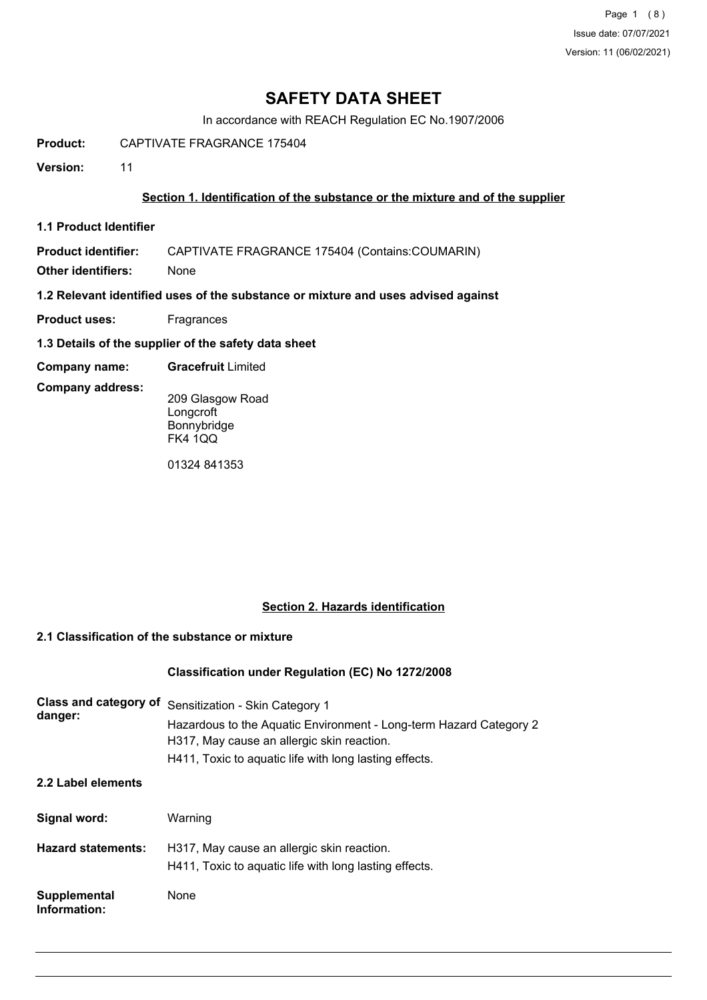Page 1 (8) Issue date: 07/07/2021 Version: 11 (06/02/2021)

# **SAFETY DATA SHEET**

In accordance with REACH Regulation EC No.1907/2006

**Product:** CAPTIVATE FRAGRANCE 175404

**Version:** 11

### **Section 1. Identification of the substance or the mixture and of the supplier**

**1.1 Product Identifier**

**Product identifier:** CAPTIVATE FRAGRANCE 175404 (Contains:COUMARIN)

**Other identifiers:** None

**1.2 Relevant identified uses of the substance or mixture and uses advised against**

- **Product uses:** Fragrances
- **1.3 Details of the supplier of the safety data sheet**
- **Company name: Gracefruit** Limited

**Company address:**

209 Glasgow Road **Longcroft** Bonnybridge FK4 1QQ

01324 841353

### **Section 2. Hazards identification**

### **2.1 Classification of the substance or mixture**

## **Classification under Regulation (EC) No 1272/2008**

| Class and category of<br>danger: | Sensitization - Skin Category 1<br>Hazardous to the Aquatic Environment - Long-term Hazard Category 2<br>H317, May cause an allergic skin reaction.<br>H411, Toxic to aquatic life with long lasting effects. |
|----------------------------------|---------------------------------------------------------------------------------------------------------------------------------------------------------------------------------------------------------------|
| 2.2 Label elements               |                                                                                                                                                                                                               |
| Signal word:                     | Warning                                                                                                                                                                                                       |
| <b>Hazard statements:</b>        | H317, May cause an allergic skin reaction.<br>H411, Toxic to aquatic life with long lasting effects.                                                                                                          |
| Supplemental<br>Information:     | None                                                                                                                                                                                                          |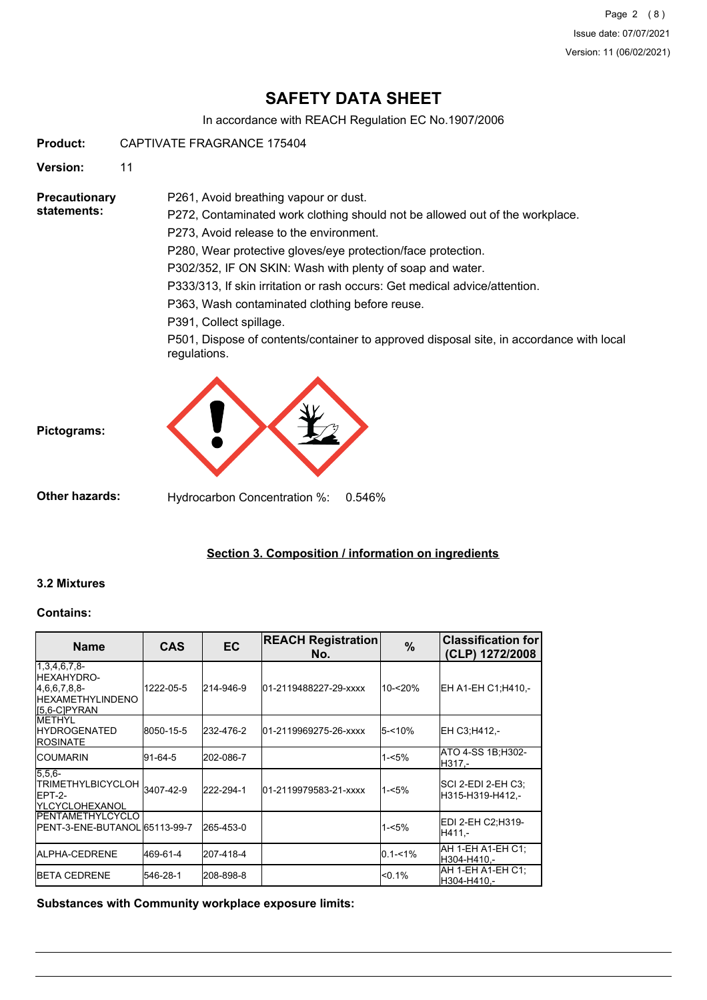Page 2 (8) Issue date: 07/07/2021 Version: 11 (06/02/2021)

# **SAFETY DATA SHEET**

In accordance with REACH Regulation EC No.1907/2006

**Product:** CAPTIVATE FRAGRANCE 175404

**Version:** 11

**Precautionary statements:**

P272, Contaminated work clothing should not be allowed out of the workplace.

P273, Avoid release to the environment.

P261, Avoid breathing vapour or dust.

P280, Wear protective gloves/eye protection/face protection.

P302/352, IF ON SKIN: Wash with plenty of soap and water.

P333/313, If skin irritation or rash occurs: Get medical advice/attention.

P363, Wash contaminated clothing before reuse.

P391, Collect spillage.

P501, Dispose of contents/container to approved disposal site, in accordance with local regulations.



**Other hazards:** Hydrocarbon Concentration %: 0.546%

## **Section 3. Composition / information on ingredients**

### **3.2 Mixtures**

**Pictograms:**

#### **Contains:**

| <b>Name</b>                                                                                        | <b>CAS</b> | EC        | <b>REACH Registration</b><br>No. | $\%$        | <b>Classification for</b><br>(CLP) 1272/2008 |
|----------------------------------------------------------------------------------------------------|------------|-----------|----------------------------------|-------------|----------------------------------------------|
| $1,3,4,6,7,8-$<br><b>IHEXAHYDRO-</b><br>[4,6,6,7,8,8]<br><b>IHEXAMETHYLINDENO</b><br>I[5,6-C]PYRAN | 1222-05-5  | 214-946-9 | 01-2119488227-29-xxxx            | 10-<20%     | EH A1-EH C1:H410.-                           |
| <b>IMETHYL</b><br><b>IHYDROGENATED</b><br><b>ROSINATE</b>                                          | 8050-15-5  | 232-476-2 | 01-2119969275-26-xxxx            | 5-<10%      | EH C3:H412.-                                 |
| <b>ICOUMARIN</b>                                                                                   | 91-64-5    | 202-086-7 |                                  | $1 - 5%$    | ATO 4-SS 1B;H302-<br>H317.-                  |
| $15.5.6 -$<br>TRIMETHYLBICYCLOH 3407-42-9<br>IEPT-2-<br><b>IYLCYCLOHEXANOL</b>                     |            | 222-294-1 | 01-2119979583-21-xxxx            | $1 - 5%$    | SCI 2-EDI 2-EH C3:<br>H315-H319-H412.-       |
| <b>IPENTAMETHYLCYCLO</b><br>IPENT-3-ENE-BUTANOL 65113-99-7                                         |            | 265-453-0 |                                  | $1 - 5%$    | EDI 2-EH C2:H319-<br>H411.-                  |
| <b>IALPHA-CEDRENE</b>                                                                              | 469-61-4   | 207-418-4 |                                  | $0.1 - 1\%$ | AH 1-EH A1-EH C1:<br>H304-H410.-             |
| <b>IBETA CEDRENE</b>                                                                               | 546-28-1   | 208-898-8 |                                  | $< 0.1\%$   | AH 1-EH A1-EH C1;<br>H304-H410.-             |

**Substances with Community workplace exposure limits:**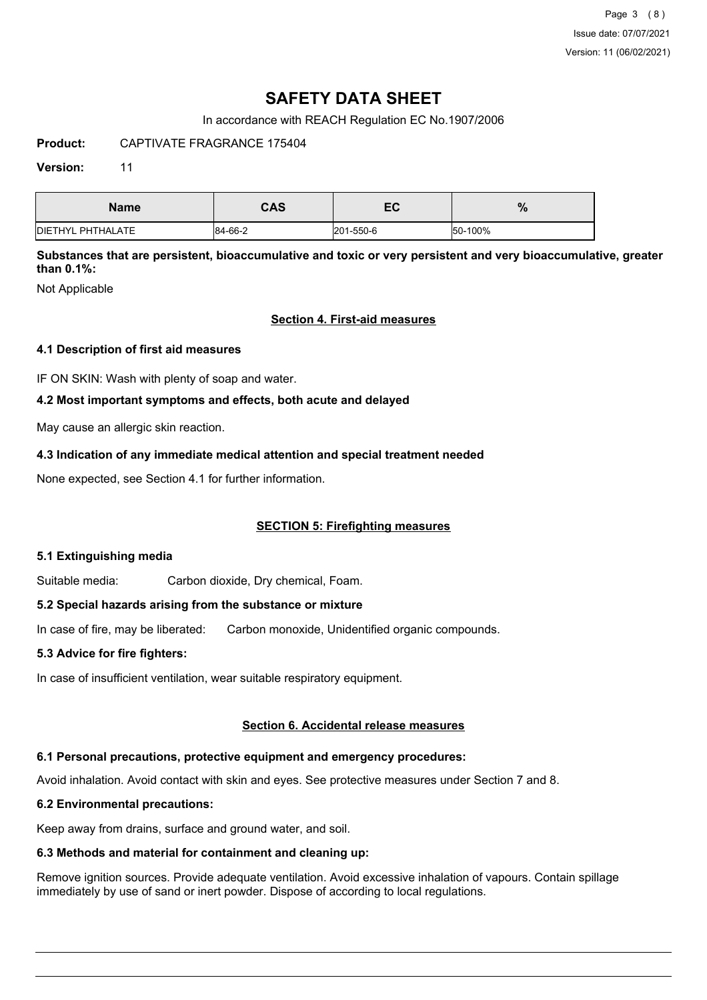Page 3 (8) Issue date: 07/07/2021 Version: 11 (06/02/2021)

# **SAFETY DATA SHEET**

In accordance with REACH Regulation EC No.1907/2006

**Product:** CAPTIVATE FRAGRANCE 175404

### **Version:** 11

| <b>Name</b>               | <b>CAS</b> | — Л<br>EV | %       |
|---------------------------|------------|-----------|---------|
| <b>IDIETHYL PHTHALATE</b> | 84-66-2    | 201-550-6 | 50-100% |

**Substances that are persistent, bioaccumulative and toxic or very persistent and very bioaccumulative, greater than 0.1%:**

Not Applicable

### **Section 4. First-aid measures**

### **4.1 Description of first aid measures**

IF ON SKIN: Wash with plenty of soap and water.

### **4.2 Most important symptoms and effects, both acute and delayed**

May cause an allergic skin reaction.

### **4.3 Indication of any immediate medical attention and special treatment needed**

None expected, see Section 4.1 for further information.

### **SECTION 5: Firefighting measures**

### **5.1 Extinguishing media**

Suitable media: Carbon dioxide, Dry chemical, Foam.

### **5.2 Special hazards arising from the substance or mixture**

In case of fire, may be liberated: Carbon monoxide, Unidentified organic compounds.

### **5.3 Advice for fire fighters:**

In case of insufficient ventilation, wear suitable respiratory equipment.

### **Section 6. Accidental release measures**

### **6.1 Personal precautions, protective equipment and emergency procedures:**

Avoid inhalation. Avoid contact with skin and eyes. See protective measures under Section 7 and 8.

### **6.2 Environmental precautions:**

Keep away from drains, surface and ground water, and soil.

### **6.3 Methods and material for containment and cleaning up:**

Remove ignition sources. Provide adequate ventilation. Avoid excessive inhalation of vapours. Contain spillage immediately by use of sand or inert powder. Dispose of according to local regulations.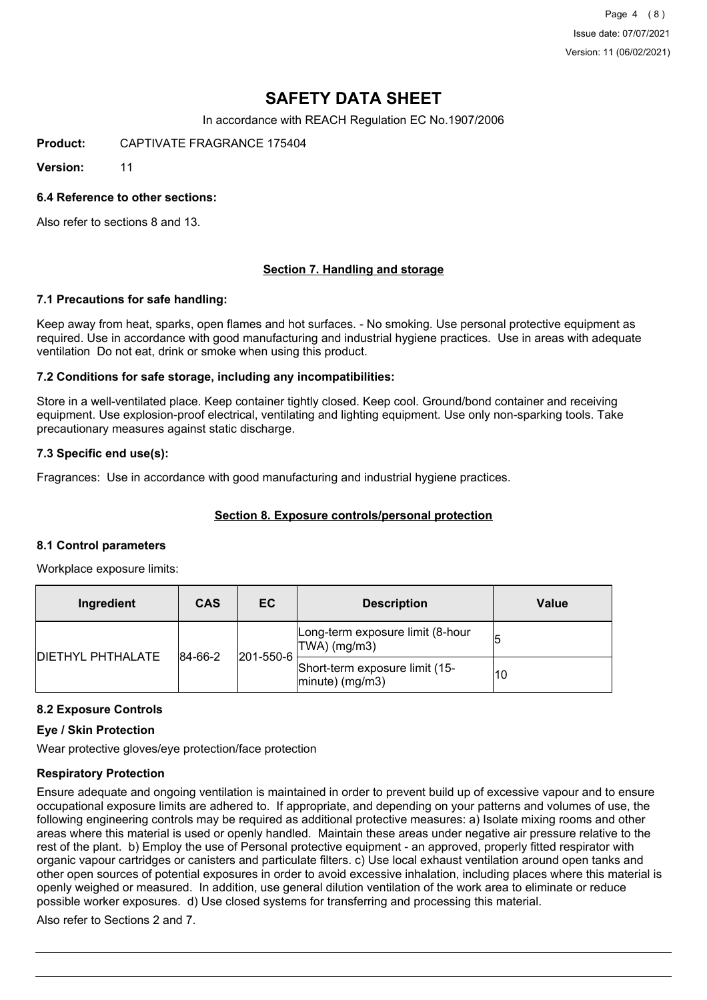Page 4 (8) Issue date: 07/07/2021 Version: 11 (06/02/2021)

# **SAFETY DATA SHEET**

In accordance with REACH Regulation EC No.1907/2006

**Product:** CAPTIVATE FRAGRANCE 175404

**Version:** 11

### **6.4 Reference to other sections:**

Also refer to sections 8 and 13.

## **Section 7. Handling and storage**

### **7.1 Precautions for safe handling:**

Keep away from heat, sparks, open flames and hot surfaces. - No smoking. Use personal protective equipment as required. Use in accordance with good manufacturing and industrial hygiene practices. Use in areas with adequate ventilation Do not eat, drink or smoke when using this product.

### **7.2 Conditions for safe storage, including any incompatibilities:**

Store in a well-ventilated place. Keep container tightly closed. Keep cool. Ground/bond container and receiving equipment. Use explosion-proof electrical, ventilating and lighting equipment. Use only non-sparking tools. Take precautionary measures against static discharge.

### **7.3 Specific end use(s):**

Fragrances: Use in accordance with good manufacturing and industrial hygiene practices.

### **Section 8. Exposure controls/personal protection**

#### **8.1 Control parameters**

Workplace exposure limits:

| Ingredient               | <b>CAS</b> | EC        | <b>Description</b>                                   | <b>Value</b> |
|--------------------------|------------|-----------|------------------------------------------------------|--------------|
|                          | 84-66-2    | 201-550-6 | Long-term exposure limit (8-hour<br>$ TWA $ (mg/m3)  |              |
| <b>DIETHYL PHTHALATE</b> |            |           | Short-term exposure limit (15-<br>$ minute)$ (mg/m3) | 10           |

### **8.2 Exposure Controls**

#### **Eye / Skin Protection**

Wear protective gloves/eye protection/face protection

### **Respiratory Protection**

Ensure adequate and ongoing ventilation is maintained in order to prevent build up of excessive vapour and to ensure occupational exposure limits are adhered to. If appropriate, and depending on your patterns and volumes of use, the following engineering controls may be required as additional protective measures: a) Isolate mixing rooms and other areas where this material is used or openly handled. Maintain these areas under negative air pressure relative to the rest of the plant. b) Employ the use of Personal protective equipment - an approved, properly fitted respirator with organic vapour cartridges or canisters and particulate filters. c) Use local exhaust ventilation around open tanks and other open sources of potential exposures in order to avoid excessive inhalation, including places where this material is openly weighed or measured. In addition, use general dilution ventilation of the work area to eliminate or reduce possible worker exposures. d) Use closed systems for transferring and processing this material.

Also refer to Sections 2 and 7.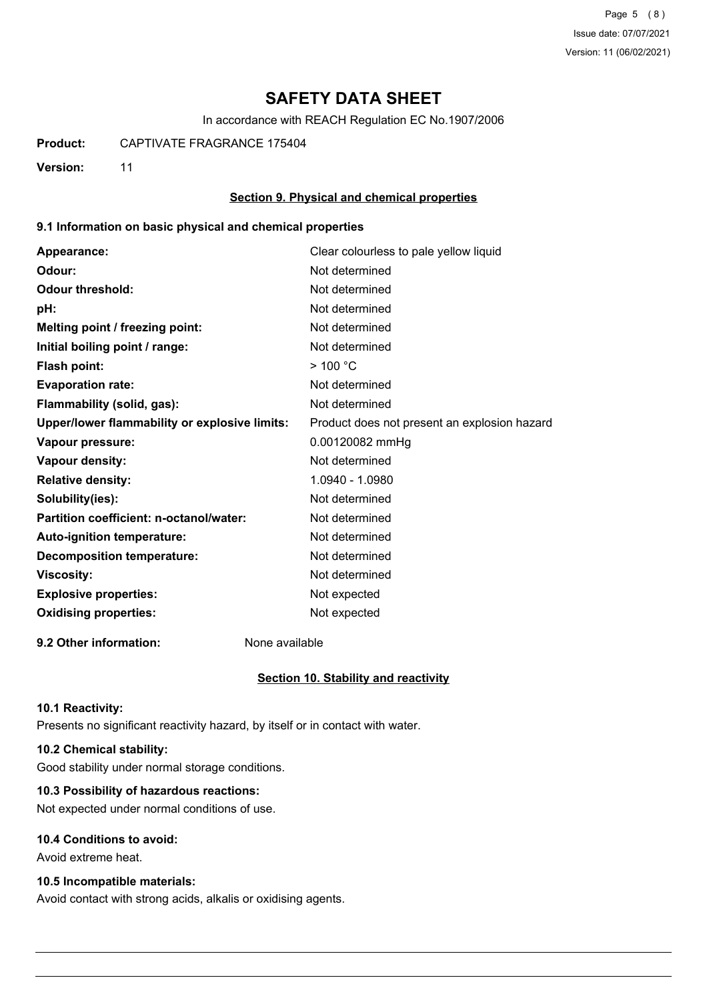Page 5 (8) Issue date: 07/07/2021 Version: 11 (06/02/2021)

# **SAFETY DATA SHEET**

In accordance with REACH Regulation EC No.1907/2006

**Product:** CAPTIVATE FRAGRANCE 175404

**Version:** 11

### **Section 9. Physical and chemical properties**

### **9.1 Information on basic physical and chemical properties**

| Appearance:                                   | Clear colourless to pale yellow liquid       |
|-----------------------------------------------|----------------------------------------------|
| Odour:                                        | Not determined                               |
| <b>Odour threshold:</b>                       | Not determined                               |
| pH:                                           | Not determined                               |
| Melting point / freezing point:               | Not determined                               |
| Initial boiling point / range:                | Not determined                               |
| <b>Flash point:</b>                           | $>$ 100 °C                                   |
| <b>Evaporation rate:</b>                      | Not determined                               |
| Flammability (solid, gas):                    | Not determined                               |
| Upper/lower flammability or explosive limits: | Product does not present an explosion hazard |
| Vapour pressure:                              | 0.00120082 mmHg                              |
| Vapour density:                               | Not determined                               |
| <b>Relative density:</b>                      | 1.0940 - 1.0980                              |
| Solubility(ies):                              | Not determined                               |
| Partition coefficient: n-octanol/water:       | Not determined                               |
| Auto-ignition temperature:                    | Not determined                               |
| <b>Decomposition temperature:</b>             | Not determined                               |
| <b>Viscosity:</b>                             | Not determined                               |
| <b>Explosive properties:</b>                  | Not expected                                 |
| <b>Oxidising properties:</b>                  | Not expected                                 |
|                                               |                                              |

**9.2 Other information:** None available

### **Section 10. Stability and reactivity**

#### **10.1 Reactivity:**

Presents no significant reactivity hazard, by itself or in contact with water.

## **10.2 Chemical stability:**

Good stability under normal storage conditions.

## **10.3 Possibility of hazardous reactions:**

Not expected under normal conditions of use.

### **10.4 Conditions to avoid:**

Avoid extreme heat.

### **10.5 Incompatible materials:**

Avoid contact with strong acids, alkalis or oxidising agents.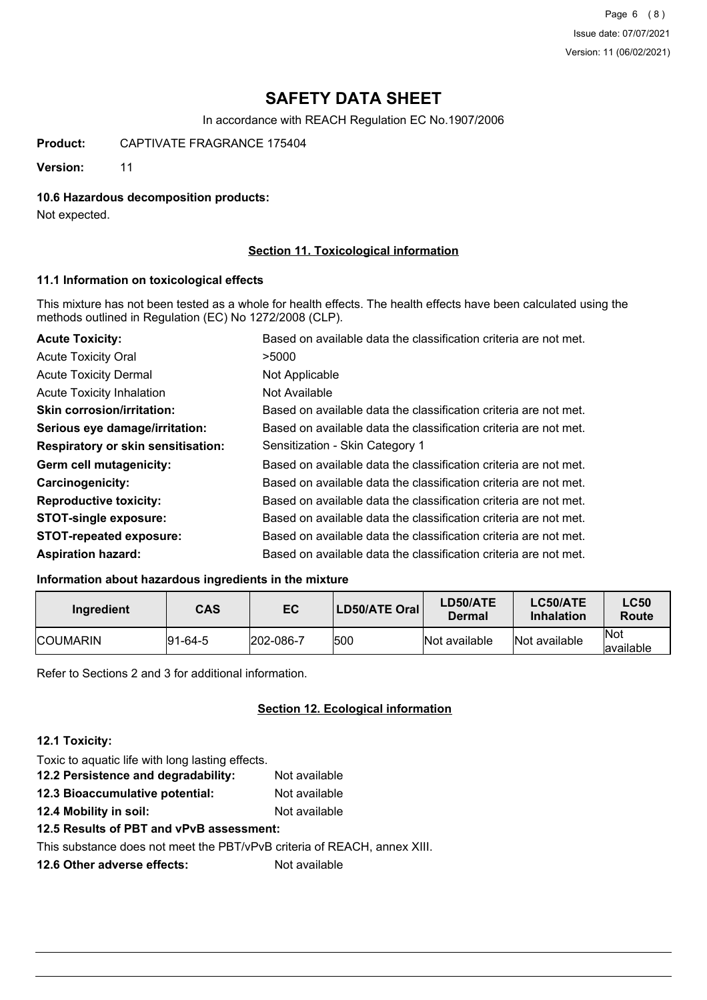Page 6 (8) Issue date: 07/07/2021 Version: 11 (06/02/2021)

# **SAFETY DATA SHEET**

In accordance with REACH Regulation EC No.1907/2006

**Product:** CAPTIVATE FRAGRANCE 175404

**Version:** 11

### **10.6 Hazardous decomposition products:**

Not expected.

## **Section 11. Toxicological information**

### **11.1 Information on toxicological effects**

This mixture has not been tested as a whole for health effects. The health effects have been calculated using the methods outlined in Regulation (EC) No 1272/2008 (CLP).

| <b>Acute Toxicity:</b>                    | Based on available data the classification criteria are not met. |
|-------------------------------------------|------------------------------------------------------------------|
| <b>Acute Toxicity Oral</b>                | >5000                                                            |
| <b>Acute Toxicity Dermal</b>              | Not Applicable                                                   |
| <b>Acute Toxicity Inhalation</b>          | Not Available                                                    |
| <b>Skin corrosion/irritation:</b>         | Based on available data the classification criteria are not met. |
| Serious eye damage/irritation:            | Based on available data the classification criteria are not met. |
| <b>Respiratory or skin sensitisation:</b> | Sensitization - Skin Category 1                                  |
| Germ cell mutagenicity:                   | Based on available data the classification criteria are not met. |
| <b>Carcinogenicity:</b>                   | Based on available data the classification criteria are not met. |
| <b>Reproductive toxicity:</b>             | Based on available data the classification criteria are not met. |
| <b>STOT-single exposure:</b>              | Based on available data the classification criteria are not met. |
| <b>STOT-repeated exposure:</b>            | Based on available data the classification criteria are not met. |
| <b>Aspiration hazard:</b>                 | Based on available data the classification criteria are not met. |

## **Information about hazardous ingredients in the mixture**

| Ingredient       | CAS      | EC        | LD50/ATE Oral | LD50/ATE<br>Dermal | LC50/ATE<br><b>Inhalation</b> | <b>LC50</b><br>Route     |
|------------------|----------|-----------|---------------|--------------------|-------------------------------|--------------------------|
| <b>ICOUMARIN</b> | 191-64-5 | 202-086-7 | 500           | Not available      | Not available                 | <b>Not</b><br>lavailable |

Refer to Sections 2 and 3 for additional information.

### **Section 12. Ecological information**

## **12.1 Toxicity:**

Toxic to aquatic life with long lasting effects. **12.2 Persistence and degradability:** Not available **12.3 Bioaccumulative potential:** Not available **12.4 Mobility in soil:** Not available

**12.5 Results of PBT and vPvB assessment:**

This substance does not meet the PBT/vPvB criteria of REACH, annex XIII.

**12.6 Other adverse effects:** Not available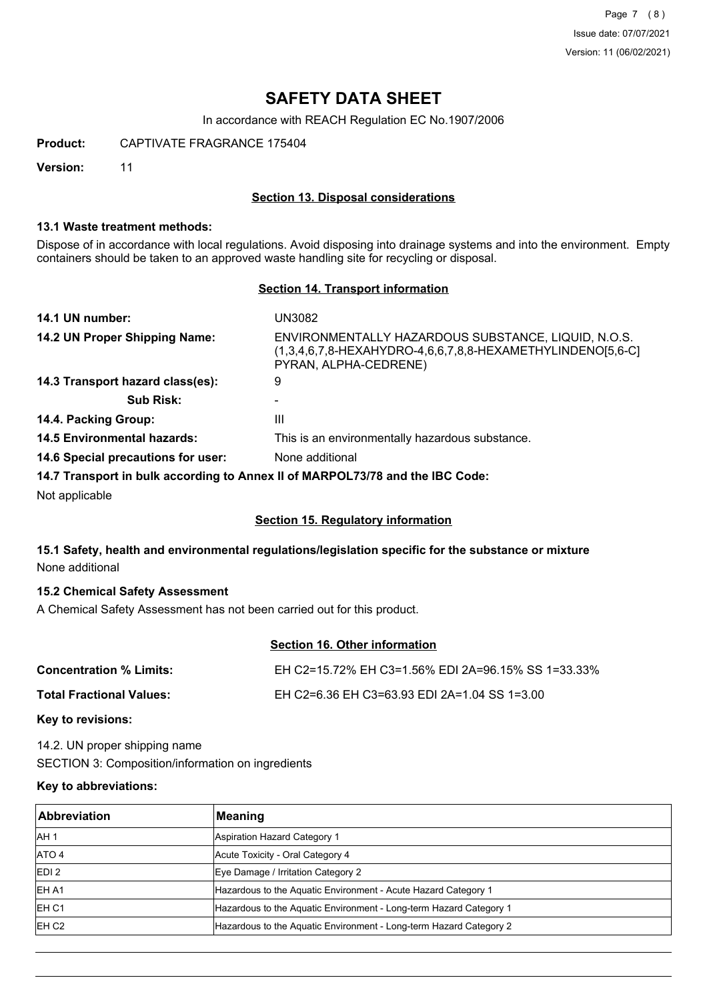Page 7 (8) Issue date: 07/07/2021 Version: 11 (06/02/2021)

# **SAFETY DATA SHEET**

In accordance with REACH Regulation EC No.1907/2006

**Product:** CAPTIVATE FRAGRANCE 175404

**Version:** 11

### **Section 13. Disposal considerations**

### **13.1 Waste treatment methods:**

Dispose of in accordance with local regulations. Avoid disposing into drainage systems and into the environment. Empty containers should be taken to an approved waste handling site for recycling or disposal.

### **Section 14. Transport information**

| 14.1 UN number:                                                               | UN3082                                                                                                                                     |
|-------------------------------------------------------------------------------|--------------------------------------------------------------------------------------------------------------------------------------------|
| 14.2 UN Proper Shipping Name:                                                 | ENVIRONMENTALLY HAZARDOUS SUBSTANCE, LIQUID, N.O.S.<br>(1,3,4,6,7,8-HEXAHYDRO-4,6,6,7,8,8-HEXAMETHYLINDENO[5,6-C]<br>PYRAN, ALPHA-CEDRENE) |
| 14.3 Transport hazard class(es):                                              | 9                                                                                                                                          |
| <b>Sub Risk:</b>                                                              |                                                                                                                                            |
| 14.4. Packing Group:                                                          | Ш                                                                                                                                          |
| <b>14.5 Environmental hazards:</b>                                            | This is an environmentally hazardous substance.                                                                                            |
| 14.6 Special precautions for user:                                            | None additional                                                                                                                            |
| 14.7 Transport in bulk according to Annex II of MARPOL73/78 and the IBC Code: |                                                                                                                                            |
| Not applicable                                                                |                                                                                                                                            |

### **Section 15. Regulatory information**

## **15.1 Safety, health and environmental regulations/legislation specific for the substance or mixture** None additional

## **15.2 Chemical Safety Assessment**

A Chemical Safety Assessment has not been carried out for this product.

## **Section 16. Other information**

| Concentration % Limits:  | EH C2=15.72% EH C3=1.56% EDI 2A=96.15% SS 1=33.33% |
|--------------------------|----------------------------------------------------|
| Total Fractional Values: | EH C2=6.36 EH C3=63.93 EDI 2A=1.04 SS 1=3.00       |

#### **Key to revisions:**

14.2. UN proper shipping name SECTION 3: Composition/information on ingredients

#### **Key to abbreviations:**

| <b>Abbreviation</b> | Meaning                                                            |
|---------------------|--------------------------------------------------------------------|
| IAH <sub>1</sub>    | Aspiration Hazard Category 1                                       |
| ATO 4               | Acute Toxicity - Oral Category 4                                   |
| EDI <sub>2</sub>    | Eye Damage / Irritation Category 2                                 |
| EH A1               | Hazardous to the Aquatic Environment - Acute Hazard Category 1     |
| EH C <sub>1</sub>   | Hazardous to the Aquatic Environment - Long-term Hazard Category 1 |
| EH C <sub>2</sub>   | Hazardous to the Aquatic Environment - Long-term Hazard Category 2 |